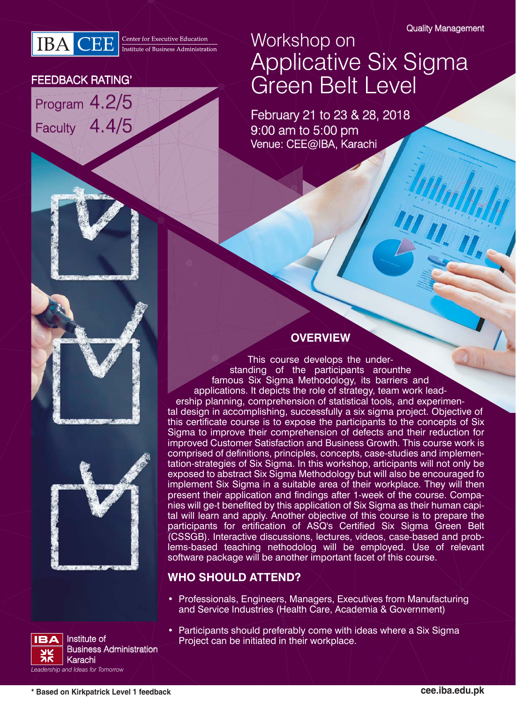

### FEEDBACK RATING'

Program 4.2/5 Faculty 4.4/5



February 21 to 23 & 28, 2018 9:00 am to 5:00 pm Venue: CEE@IBA, Karachi





### **OVERVIEW**

This course develops the understanding of the participants arounthe famous Six Sigma Methodology, its barriers and applications. It depicts the role of strategy, team work leadership planning, comprehension of statistical tools, and experimental design in accomplishing, successfully a six sigma project. Objective of this certificate course is to expose the participants to the concepts of Six Sigma to improve their comprehension of defects and their reduction for improved Customer Satisfaction and Business Growth. This course work is comprised of definitions, principles, concepts, case-studies and implementation-strategies of Six Sigma. In this workshop, articipants will not only be exposed to abstract Six Sigma Methodology but will also be encouraged fo implement Six Sigma in a suitable area of their workplace. They will then present their application and findings after 1-week of the course. Companies will ge-t benefited by this application of Six Sigma as their human capital will learn and apply. Another objective of this course is to prepare the participants for ertification of ASQ's Certified Six Sigma Green Belt (CSSGB). Interactive discussions, lectures, videos, case-based and problems-based teaching nethodolog will be employed. Use of relevant software package will be another important facet of this course.

### **WHO SHOULD ATTEND?**

• Professionals, Engineers, Managers, Executives from Manufacturing and Service Industries (Health Care, Academia & Government)



• Participants should preferably come with ideas where a Six Sigma Project can be initiated in their workplace. Institute of